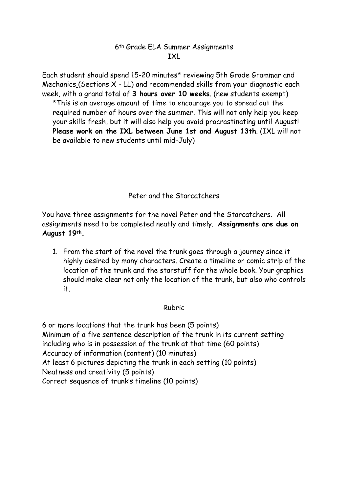## 6th Grade ELA Summer Assignments **TXL**

Each student should spend 15-20 minutes\* reviewing 5th Grade Grammar and Mechanics (Sections X - LL) and recommended skills from your diagnostic each week, with a grand total of **3 hours over 10 weeks**. (new students exempt) \*This is an average amount of time to encourage you to spread out the required number of hours over the summer. This will not only help you keep your skills fresh, but it will also help you avoid procrastinating until August! **Please work on the IXL between June 1st and August 13th**. (IXL will not be available to new students until mid-July)

Peter and the Starcatchers

You have three assignments for the novel Peter and the Starcatchers. All assignments need to be completed neatly and timely. **Assignments are due on August 19th.** 

1. From the start of the novel the trunk goes through a journey since it highly desired by many characters. Create a timeline or comic strip of the location of the trunk and the starstuff for the whole book. Your graphics should make clear not only the location of the trunk, but also who controls it.

## Rubric

6 or more locations that the trunk has been (5 points) Minimum of a five sentence description of the trunk in its current setting including who is in possession of the trunk at that time (60 points) Accuracy of information (content) (10 minutes) At least 6 pictures depicting the trunk in each setting (10 points) Neatness and creativity (5 points) Correct sequence of trunk's timeline (10 points)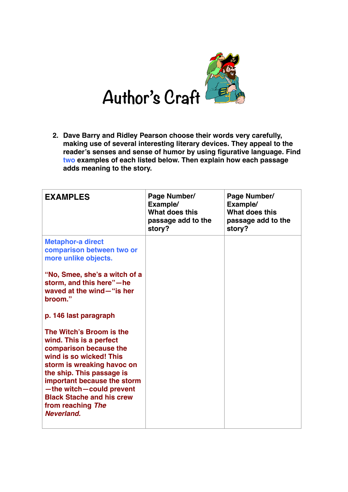

**2. Dave Barry and Ridley Pearson choose their words very carefully, making use of several interesting literary devices. They appeal to the reader's senses and sense of humor by using figurative language. Find two examples of each listed below. Then explain how each passage adds meaning to the story.** 

| <b>EXAMPLES</b>                                                                                                                                                                                                                                                                                                                                                                                                                                                                                                      | Page Number/<br>Example/<br>What does this<br>passage add to the<br>story? | Page Number/<br>Example/<br>What does this<br>passage add to the<br>story? |
|----------------------------------------------------------------------------------------------------------------------------------------------------------------------------------------------------------------------------------------------------------------------------------------------------------------------------------------------------------------------------------------------------------------------------------------------------------------------------------------------------------------------|----------------------------------------------------------------------------|----------------------------------------------------------------------------|
| <b>Metaphor-a direct</b><br>comparison between two or<br>more unlike objects.<br>"No, Smee, she's a witch of a<br>storm, and this here"-he<br>waved at the wind-"is her<br>broom."<br>p. 146 last paragraph<br>The Witch's Broom is the<br>wind. This is a perfect<br>comparison because the<br>wind is so wicked! This<br>storm is wreaking havoc on<br>the ship. This passage is<br>important because the storm<br>-the witch-could prevent<br><b>Black Stache and his crew</b><br>from reaching The<br>Neverland. |                                                                            |                                                                            |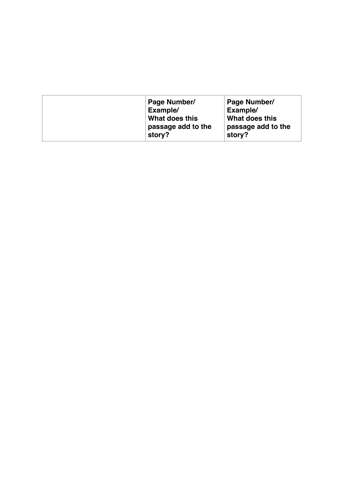| Page Number/<br>Example/<br>What does this<br>passage add to the | Page Number/<br>Example/<br>What does this<br>passage add to the |
|------------------------------------------------------------------|------------------------------------------------------------------|
| story?                                                           | story?                                                           |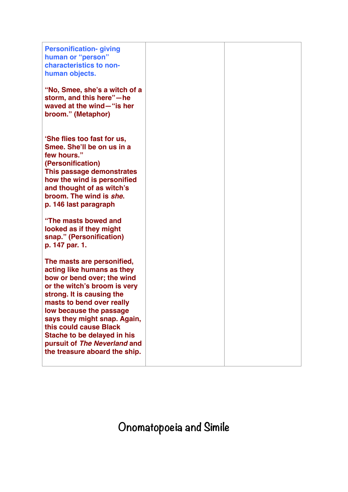| <b>Personification-giving</b><br>human or "person"<br>characteristics to non-<br>human objects.                                                                                                                                                                                                                                                                       |  |
|-----------------------------------------------------------------------------------------------------------------------------------------------------------------------------------------------------------------------------------------------------------------------------------------------------------------------------------------------------------------------|--|
| "No, Smee, she's a witch of a<br>storm, and this here"-he<br>waved at the wind-"is her<br>broom." (Metaphor)                                                                                                                                                                                                                                                          |  |
| 'She flies too fast for us,<br>Smee, She'll be on us in a<br>few hours."<br>(Personification)<br>This passage demonstrates<br>how the wind is personified<br>and thought of as witch's<br>broom. The wind is she.<br>p. 146 last paragraph                                                                                                                            |  |
| "The masts bowed and<br>looked as if they might<br>snap." (Personification)<br>p. 147 par. 1.                                                                                                                                                                                                                                                                         |  |
| The masts are personified,<br>acting like humans as they<br>bow or bend over; the wind<br>or the witch's broom is very<br>strong. It is causing the<br>masts to bend over really<br>low because the passage<br>says they might snap. Again,<br>this could cause Black<br>Stache to be delayed in his<br>pursuit of The Neverland and<br>the treasure aboard the ship. |  |

**Onomatopoeia and Simile**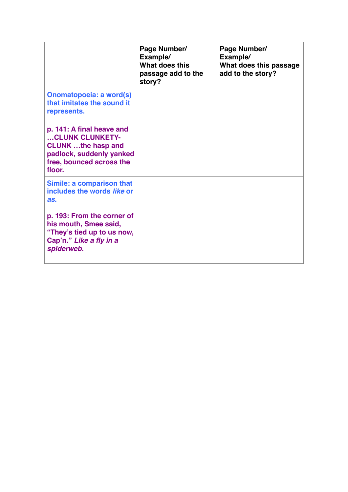|                                                                                                                                             | Page Number/<br>Example/<br>What does this<br>passage add to the<br>story? | Page Number/<br>Example/<br>What does this passage<br>add to the story? |
|---------------------------------------------------------------------------------------------------------------------------------------------|----------------------------------------------------------------------------|-------------------------------------------------------------------------|
| <b>Onomatopoeia: a word(s)</b><br>that imitates the sound it<br>represents.                                                                 |                                                                            |                                                                         |
| p. 141: A final heave and<br>CLUNK CLUNKETY-<br><b>CLUNK</b> the hasp and<br>padlock, suddenly yanked<br>free, bounced across the<br>floor. |                                                                            |                                                                         |
| Simile: a comparison that<br>includes the words like or<br>as.                                                                              |                                                                            |                                                                         |
| p. 193: From the corner of<br>his mouth, Smee said,<br>"They's tied up to us now,<br>Cap'n." Like a fly in a<br>spiderweb.                  |                                                                            |                                                                         |